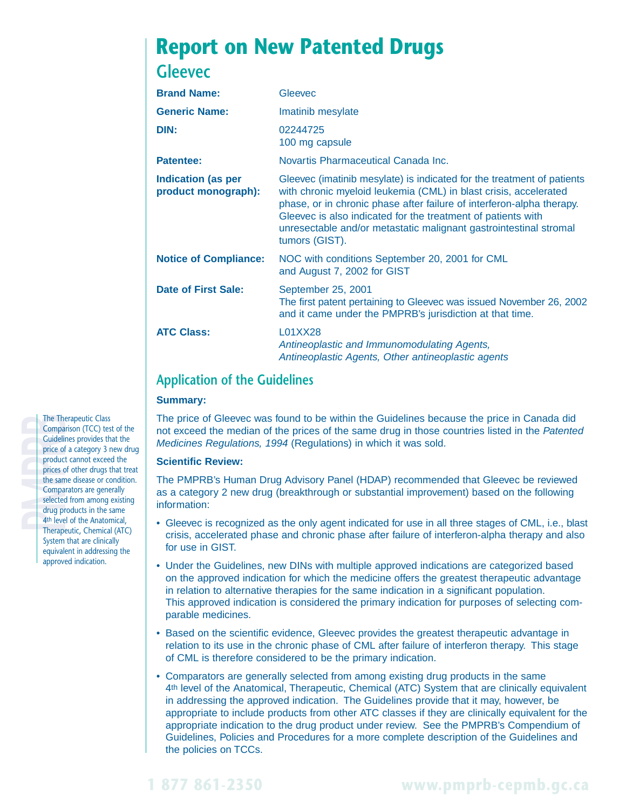# **Report on New Patented Drugs**

# **Gleevec**

| <b>Brand Name:</b>                               | Gleevec                                                                                                                                                                                                                                                                                                                                                                    |  |
|--------------------------------------------------|----------------------------------------------------------------------------------------------------------------------------------------------------------------------------------------------------------------------------------------------------------------------------------------------------------------------------------------------------------------------------|--|
| <b>Generic Name:</b>                             | Imatinib mesylate                                                                                                                                                                                                                                                                                                                                                          |  |
| DIN:                                             | 02244725<br>100 mg capsule                                                                                                                                                                                                                                                                                                                                                 |  |
| <b>Patentee:</b>                                 | Novartis Pharmaceutical Canada Inc.                                                                                                                                                                                                                                                                                                                                        |  |
| <b>Indication (as per</b><br>product monograph): | Gleevec (imatinib mesylate) is indicated for the treatment of patients<br>with chronic myeloid leukemia (CML) in blast crisis, accelerated<br>phase, or in chronic phase after failure of interferon-alpha therapy.<br>Gleevec is also indicated for the treatment of patients with<br>unresectable and/or metastatic malignant gastrointestinal stromal<br>tumors (GIST). |  |
| <b>Notice of Compliance:</b>                     | NOC with conditions September 20, 2001 for CML<br>and August 7, 2002 for GIST                                                                                                                                                                                                                                                                                              |  |
| <b>Date of First Sale:</b>                       | September 25, 2001<br>The first patent pertaining to Gleevec was issued November 26, 2002<br>and it came under the PMPRB's jurisdiction at that time.                                                                                                                                                                                                                      |  |
| <b>ATC Class:</b>                                | L01XX28<br>Antineoplastic and Immunomodulating Agents,<br>Antineoplastic Agents, Other antineoplastic agents                                                                                                                                                                                                                                                               |  |
|                                                  |                                                                                                                                                                                                                                                                                                                                                                            |  |

## **Application of the Guidelines**

#### **Summary:**

The price of Gleevec was found to be within the Guidelines because the price in Canada did not exceed the median of the prices of the same drug in those countries listed in the Patented Medicines Regulations, 1994 (Regulations) in which it was sold.

### **Scientific Review:**

The PMPRB's Human Drug Advisory Panel (HDAP) recommended that Gleevec be reviewed as a category 2 new drug (breakthrough or substantial improvement) based on the following information:

- Gleevec is recognized as the only agent indicated for use in all three stages of CML, i.e., blast crisis, accelerated phase and chronic phase after failure of interferon-alpha therapy and also for use in GIST.
- Under the Guidelines, new DINs with multiple approved indications are categorized based on the approved indication for which the medicine offers the greatest therapeutic advantage in relation to alternative therapies for the same indication in a significant population. This approved indication is considered the primary indication for purposes of selecting comparable medicines.
- Based on the scientific evidence, Gleevec provides the greatest therapeutic advantage in relation to its use in the chronic phase of CML after failure of interferon therapy. This stage of CML is therefore considered to be the primary indication.
- Comparators are generally selected from among existing drug products in the same 4th level of the Anatomical, Therapeutic, Chemical (ATC) System that are clinically equivalent in addressing the approved indication. The Guidelines provide that it may, however, be appropriate to include products from other ATC classes if they are clinically equivalent for the appropriate indication to the drug product under review. See the PMPRB's Compendium of Guidelines, Policies and Procedures for a more complete description of the Guidelines and the policies on TCCs.

The Therapeutic Class<br>
Comparison (TCC) tes<br>
Guidelines provides th<br>
price of a category 3<br>
product cannot excee<br>
prices of other drugs t<br>
the same disease or co<br>
Comparators are gene<br>
selected from among<br>
drug products in Comparison (TCC) test of the Guidelines provides that the **price of a category 3 new drug** product cannot exceed the prices of other drugs that treat the same disease or condition. Comparators are generally selected from among existing drug products in the same 4th level of the Anatomical, Therapeutic, Chemical (ATC) System that are clinically equivalent in addressing the approved indication.